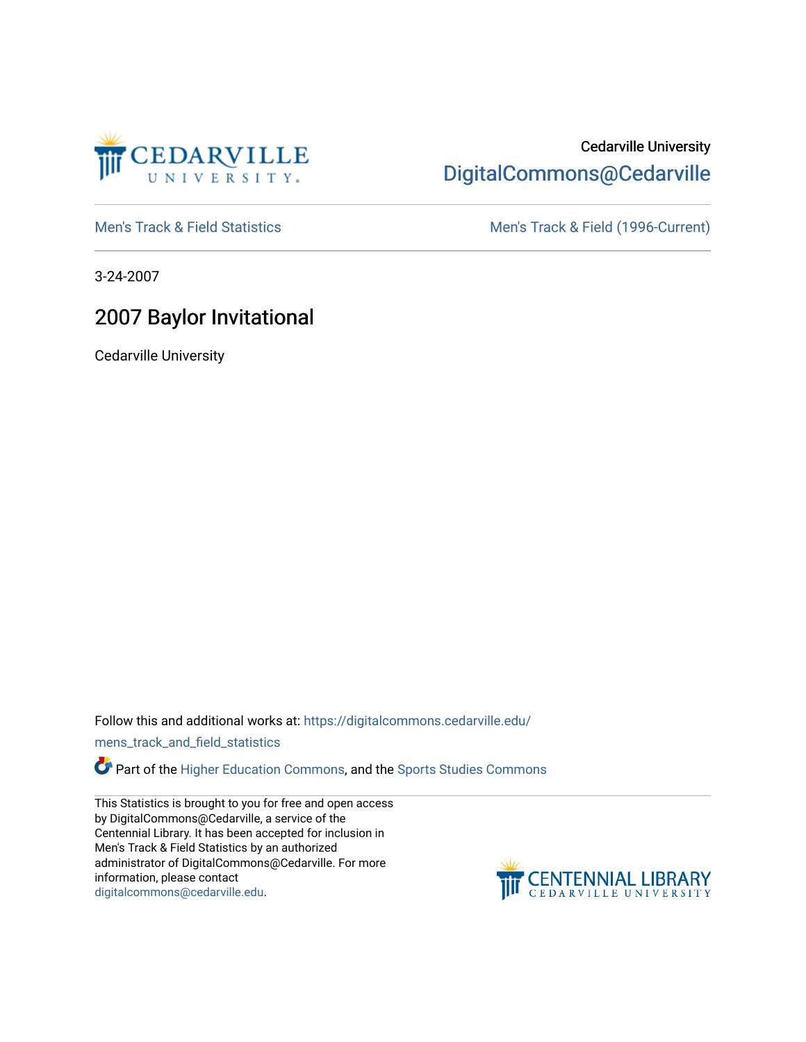

## Cedarville University [DigitalCommons@Cedarville](https://digitalcommons.cedarville.edu/)

[Men's Track & Field Statistics](https://digitalcommons.cedarville.edu/mens_track_and_field_statistics) [Men's Track & Field \(1996-Current\)](https://digitalcommons.cedarville.edu/mens_track_and_field) 

3-24-2007

## 2007 Baylor Invitational

Cedarville University

Follow this and additional works at: [https://digitalcommons.cedarville.edu/](https://digitalcommons.cedarville.edu/mens_track_and_field_statistics?utm_source=digitalcommons.cedarville.edu%2Fmens_track_and_field_statistics%2F181&utm_medium=PDF&utm_campaign=PDFCoverPages)

[mens\\_track\\_and\\_field\\_statistics](https://digitalcommons.cedarville.edu/mens_track_and_field_statistics?utm_source=digitalcommons.cedarville.edu%2Fmens_track_and_field_statistics%2F181&utm_medium=PDF&utm_campaign=PDFCoverPages)

**Part of the [Higher Education Commons,](http://network.bepress.com/hgg/discipline/1245?utm_source=digitalcommons.cedarville.edu%2Fmens_track_and_field_statistics%2F181&utm_medium=PDF&utm_campaign=PDFCoverPages) and the Sports Studies Commons** 

This Statistics is brought to you for free and open access by DigitalCommons@Cedarville, a service of the Centennial Library. It has been accepted for inclusion in Men's Track & Field Statistics by an authorized administrator of DigitalCommons@Cedarville. For more information, please contact [digitalcommons@cedarville.edu](mailto:digitalcommons@cedarville.edu).

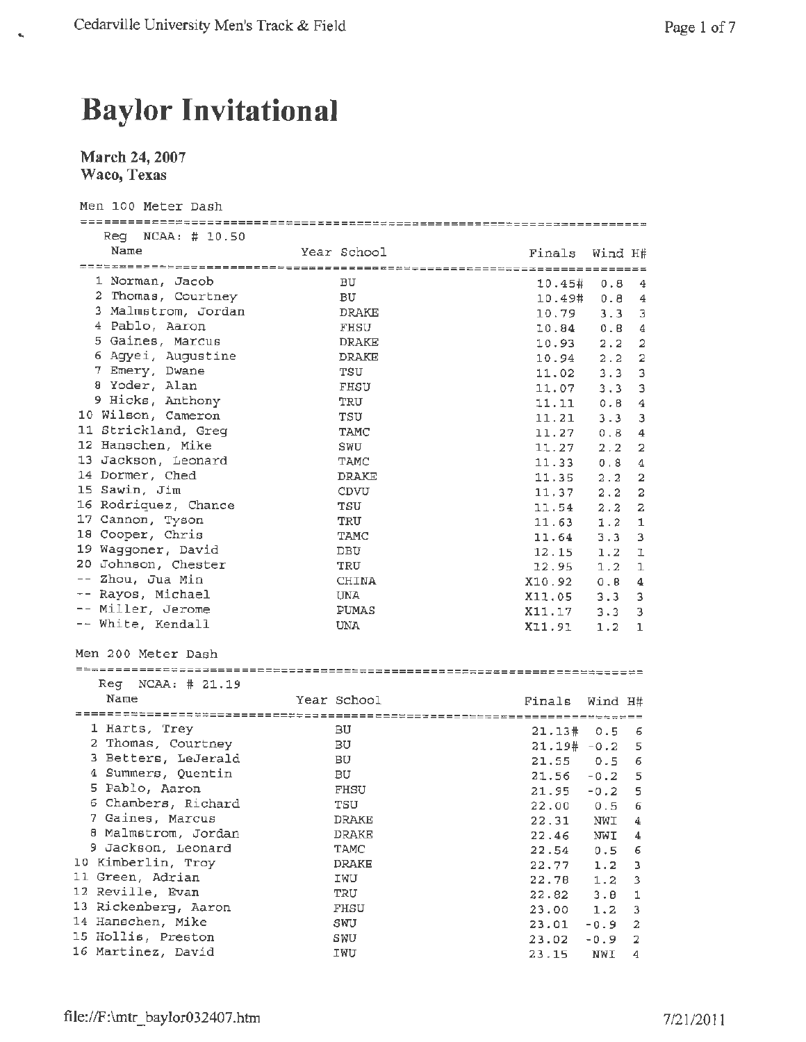## **Baylor Invitational**

## **March 24, 2007 Waco, Texas**

 $\hat{\mathbf{g}}_i$ 

| Men 100 Meter Dash                        |              |            |                       |
|-------------------------------------------|--------------|------------|-----------------------|
| $\text{Req}$ NCAA: $\#$ 10.50             |              |            |                       |
| Name                                      | Year School  |            | Finals Wind H#        |
|                                           |              |            |                       |
| 1 Norman, Jacob                           | <b>BU</b>    | 10.45# 0.8 | $\frac{4}{3}$         |
| 2 Thomas, Courtney                        | BU.          |            | 10.49# 0.8 4          |
| 3 Malmstrom, Jordan                       | <b>DRAKE</b> | 10.79      | $3.3 \quad 3$         |
| 4 Pablo, Aaron                            | FHSU         | 10.84      | 0.8<br>4              |
| 5 Gaines, Marcus                          | <b>DRAKE</b> | 10.93      | $\overline{2}$<br>2.2 |
| 6 Agyei, Augustine                        | DRAKE        | 10.94      | $\mathbf 2$<br>2.2    |
| 7 Emery, Dwane                            | TSU          | 11.02      | 3<br>$3.3 -$          |
| 8 Yoder, Alan                             | FHSU         | 11.07      | 3<br>3.3              |
| 9 Hicks, Anthony                          | TRU          | 11.11      | $\overline{4}$<br>0.8 |
| 10 Wilson, Cameron                        | TSU          | 11.21      | 3<br>$3 - 3$          |
| 11 Strickland, Greq                       | TAMC         | 11.27      | 0.8<br>4              |
| 12 Hanschen, Mike                         | SWU          | 11.27      | 2.2<br>2              |
| 13 Jackson, Leonard                       | TAMC         | 11.33      | 0.8<br>$\overline{4}$ |
| 14 Dormer, Ched                           | DRAKE        | 11.35      | 2.2<br>2              |
| 15 Sawin, Jim                             | CDVU         | 11,37      | 2.2<br>2              |
| 16 Rodriquez, Chance                      | TSU          | 11.54      | $\mathbf{z}$<br>2.2   |
| 17 Cannon, Tyson                          | TRU          | 11.63      | 1<br>1.2              |
| 18 Cooper, Chris                          | TAMC         | 11.64      | 3.3<br>3              |
| 19 Waggoner, David                        | DBU          | 12.15      | ı                     |
| 20 Johnson, Chester                       | TRU          |            | 1.2                   |
| -- Zhou, Jua Min                          | <b>CHINA</b> | 12.95      | 1.2<br>1              |
| -- Rayos, Michael                         | UNA          | X10.92     | 0.8<br>4              |
| -- Miller, Jerome                         | PUMAS        | X11.05     | $3.3 -$<br>з          |
| -- White, Kendall                         |              | X11.17     | 3<br>3.3              |
|                                           | UNA          | X11.91     | 1.2<br>1              |
| Men 200 Meter Dash                        |              |            |                       |
|                                           |              |            |                       |
| $Reg$ NCAA: $\#$ 21.19                    |              |            |                       |
| Name                                      | Year School  |            |                       |
|                                           |              | Finals     | Wind H#               |
| 1 Harts, Trey                             | вU           |            |                       |
| 2 Thomas, Courtney                        | ВU           | 21.13#     | 0.56                  |
| 3 Betters, LeJerald                       | BU           |            | $21.19# -0.2$ 5       |
| 4 Summers, Quentin                        | BU           |            | 21.55 0.5 6           |
| 5 Pablo, Aaron                            | FHSU         | 21.56      | $-0.2$<br>$-5$        |
| 6 Chambers, Richard                       |              |            | $21.95 - 0.2$ 5       |
| 7 Gaines, Marcus                          | TSU          | 22.00      | 0.5<br>6              |
| 8 Malmstrom, Jordan                       | DRAKE        | 22.31      | NWI<br>4              |
|                                           | DRAKE        | 22.46      | NWI<br>4              |
| 9 Jackson, Leonard<br>10 Kimberlin, Troy  | TAMC         | 22.54      | 0.5<br>6              |
|                                           | DRAKE        | 22.77      | 1.2<br>з              |
| 11 Green, Adrian<br>12 Reville, Evan      | IWU          | 22.78      | 1.2<br>3              |
|                                           | TRU          | 22.82      | 3.8<br>1              |
| 13 Rickenberg, Aaron<br>14 Hanschen, Mike | FHSU         | 23.00      | 1.2<br>3              |
|                                           | SWU          | 23.01      | $-0.9$<br>2           |
| 15 Hollis, Preston                        | SWU          | 23.02      | $-0.9$<br>2           |

16 Martinez, David IWU 23.15 NWI <sup>4</sup>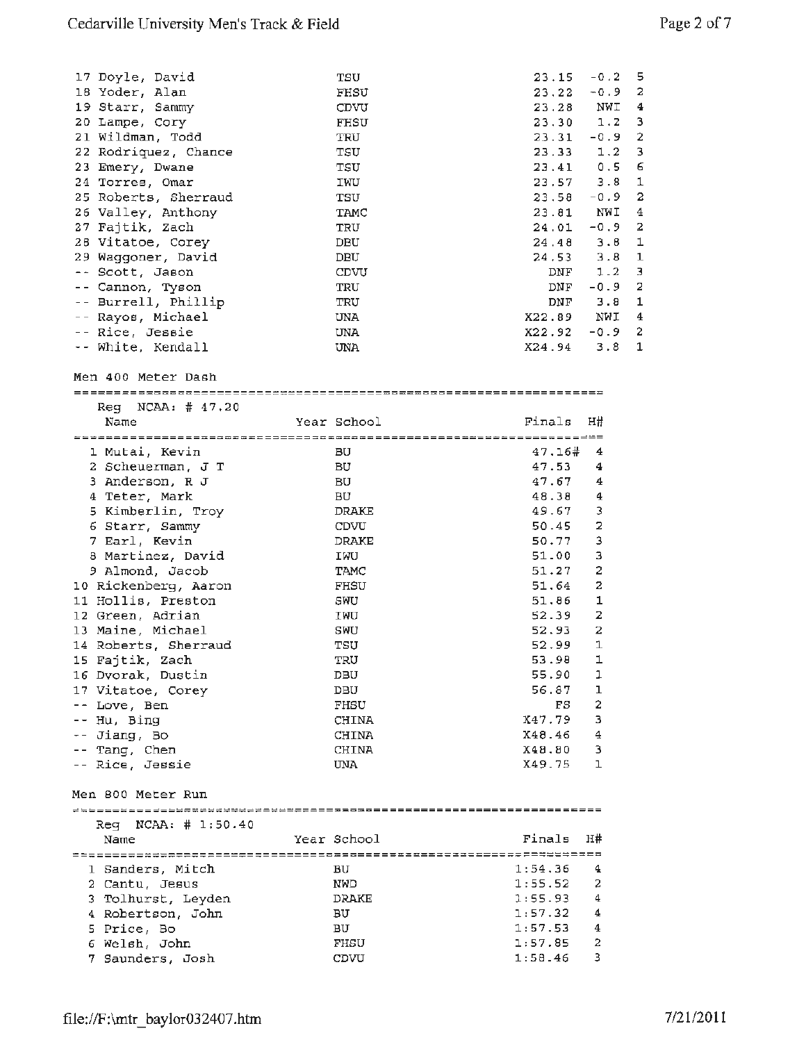| 17 Doyle, David        | TSU         |                 | $23.15 - 0.2$ 5   |                |
|------------------------|-------------|-----------------|-------------------|----------------|
| 18 Yoder, Alan         | FHSU        | 23.22           | $-0.9$ 2          |                |
| 19 Starr, Sammy        | CDVU        |                 | 23.28 NWI         | 4              |
| 20 Lampe, Cory         | <b>FHSU</b> |                 | $23.30 \t1.2 \t3$ |                |
| 21 Wildman, Todd       | TRU         |                 | $23.31 - 0.9$ 2   |                |
| 22 Rodriquez, Chance   | TSU         | 23.33           | 1.2               | 3              |
| 23 Emery, Dwane        | TSU         |                 | $23.41$ 0.5       | -6             |
| 24 Torres, Omar        | IWU         |                 | $23.57$ 3.8       | 1              |
| 25 Roberts, Sherraud   | TSU         |                 | $23.58 - 0.9$     | -2             |
| 26 Valley, Anthony     | TAMC        |                 | 23.81 NWI         | 4              |
| 27 Fajtik, Zach        | TRU         | $24.01 - 0.9$ 2 |                   |                |
| 28 Vitatoe, Corey      | DBU         |                 | $24.48$ $3.8$ 1   |                |
| 29 Waggoner, David     | DBU         |                 | $24,53$ $3.8$ 1   |                |
| -- Scott, Jason        | CDVU        | DNF             | 1.2               | 3              |
| -- Cannon, Tyson       | TRU         | DNF             | $-0.9$            | -2             |
| -- Burrell, Phillip    | TRU         | $_{\rm DMF}$    | 3.8               | 1              |
| -- Rayos, Michael      | UNA         | X22.89 NWI      |                   | 4              |
| -- Rice, Jessie        | <b>UNA</b>  | $X22.92 - 0.9$  |                   | $\overline{2}$ |
| -- White, Kendall      | UNA         | $X24.94$ 3.8 1  |                   |                |
| Men 400 Meter Dash     |             |                 |                   |                |
| $Req$ NCAA: $\#$ 47,20 |             |                 |                   |                |
| Name                   | Year School | Finals H#       |                   |                |

| ************************************ |              | ============================     |
|--------------------------------------|--------------|----------------------------------|
| 1 Mutai, Kevin                       | BU           | 47.16#<br>4                      |
| 2 Scheuerman, J T                    | BU           | 47.53<br>4                       |
| 3 Anderson, R J                      | <b>BU</b>    | 47.67<br>4                       |
| 4 Teter, Mark                        | вU           | $\overline{4}$<br>48.38          |
| 5 Kimberlin, Troy                    | <b>DRAKE</b> | 3<br>49.67                       |
| 6 Starr, Sammy                       | CDVU         | $\overline{\mathbf{2}}$<br>50.45 |
| 7 Earl, Kevin                        | <b>DRAKE</b> | 3<br>50.77                       |
| 8 Martinez, David                    | IWU          | $\overline{3}$<br>51.00          |
| 9 Almond, Jacob                      | TAMC         | $\overline{a}$<br>51.27          |
| 10 Rickenberg, Aaron                 | <b>FHSU</b>  | $\overline{a}$<br>51.64          |
| 11 Hollis, Preston                   | SWU          | $\mathbf{1}$<br>51.86            |
| 12 Green, Adrian                     | IWU          | $\overline{a}$<br>52.39          |
| 13 Maine, Michael                    | SWU          | $\overline{\mathbf{c}}$<br>52.93 |
| 14 Roberts, Sherraud                 | TSU          | $\mathbf{1}$<br>52.99            |
| 15 Fajtik, Zach                      | TRU          | $\mathbf{1}$<br>53.98            |
| 16 Dvorak, Dustin                    | DBU          | 1<br>55.90                       |
| 17 Vitatoe, Corey                    | DBU          | $\mathbf 1$<br>56.87             |
| -- Love, Ben                         | FHSU         | $\overline{2}$<br>FS.            |
| -- Hu, Bing                          | <b>CHINA</b> | $\overline{3}$<br>X47.79         |
| $--$ Jiang, Bo                       | <b>CHINA</b> | $\overline{4}$<br>X48.46         |
| -- Tang, Chen                        | <b>CHINA</b> | 3<br>X48.80                      |
| -- Rice, Jessie                      | <b>UNA</b>   | $\mathbf{I}$<br>X49.75           |
| Men 800 Meter Run                    |              |                                  |
|                                      |              |                                  |
| $Req$ NCAA: $\#$ 1:50.40             |              |                                  |
| Name                                 | Year School  | Finals<br>H#                     |
|                                      |              |                                  |

| 1 Sanders, Mitch   | вU         | 1:54.36 | -4             |
|--------------------|------------|---------|----------------|
| 2 Cantu, Jesus     | <b>NWD</b> | 1:55.52 | - 2            |
| 3 Tolhurst, Leyden | DRAKE      | 1:55.93 | 4              |
| 4 Robertson, John  | вU         | 1:57.32 | $\overline{4}$ |
| 5 Price, Bo        | <b>BU</b>  | 1:57.53 | 4              |
| 6 Welsh, John      | FHSU       | 1:57.85 | - 2.           |
| 7 Saunders, Josh   | CDVU       | 1:58.46 | $\mathbf{B}$   |
|                    |            |         |                |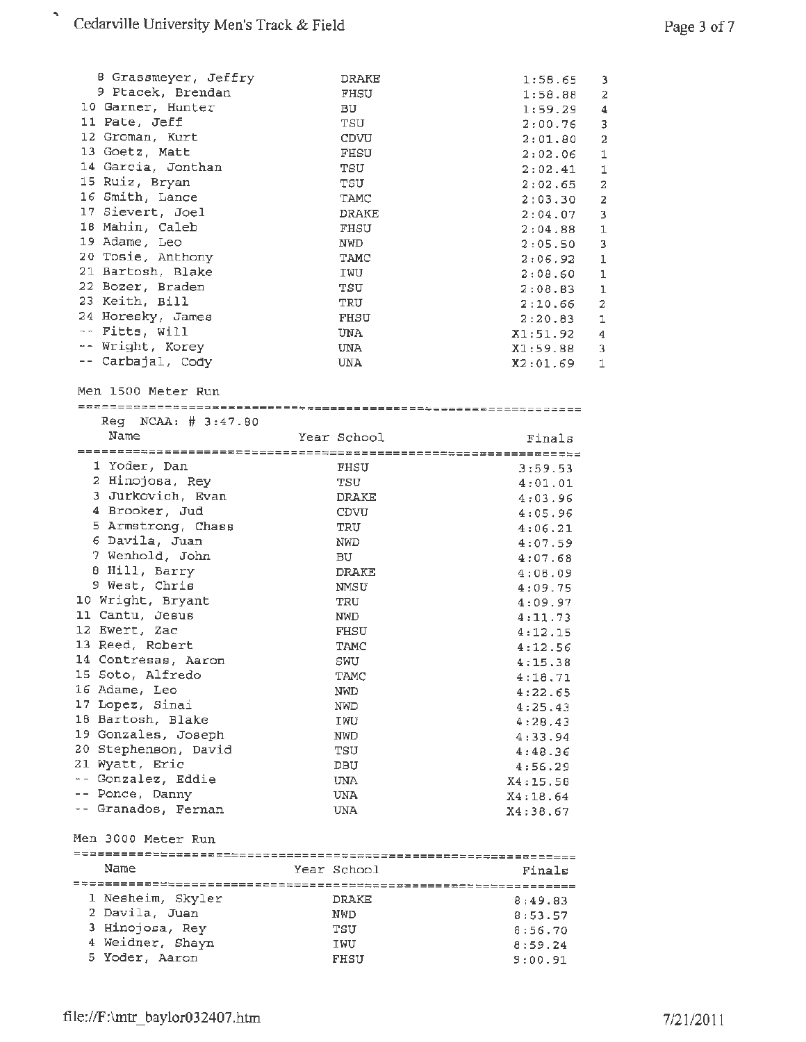| B Grassmeyer, Jeffry    | DRAKE        | 1:58.65<br>3                       |
|-------------------------|--------------|------------------------------------|
| 9 Ptacek, Brendan       | FHSU         | 1:58.88<br>2                       |
| 10 Garner, Hunter       | вU           | 1:59.29<br>4                       |
| 11 Pate, Jeff           | TSU          | 3<br>2:00.76                       |
| 12 Groman, Kurt         | CDVU         | $\overline{a}$<br>2:01.80          |
| 13 Goetz, Matt          | FHSU         | $\mathbf 1$<br>2:02.06             |
| 14 Garcia, Jonthan      | TSU          | $\mathbf 1$<br>2:02.41             |
| 15 Ruiz, Bryan          | TSU          | $\overline{\mathbf{z}}$<br>2:02.65 |
| 16 Smith, Lance         | TAMC         | 2:03.30<br>$\overline{\mathbf{2}}$ |
| 17 Sievert, Joel        | DRAKE        | 2:04.07<br>3                       |
| 18 Mahin, Caleb         | FHSU         | 2:04.88<br>1                       |
| 19 Adame, Leo           | NWD          | 3<br>2:05.50                       |
| 20 Tosie, Anthony       | TAMC         | $\mathbf 1$<br>2:06.92             |
| 21 Bartosh, Blake       | IWU          | $\mathbf 1$<br>2:08.60             |
| 22 Bozer, Braden        | TSU          | 2:08.83<br>1                       |
| 23 Keith, Bill          | TRU          | $\overline{a}$<br>2:10.66          |
| 24 Horesky, James       | FHSU         | 2:20.83<br>ı                       |
| -- Fitts, Will          | UNA          | X1:51.92<br>4                      |
| -- Wright, Korey        | UNA.         | X1:59.88<br>3                      |
| -- Carbajal, Cody       | UNA          | X2:01.69<br>1                      |
|                         |              |                                    |
| Men 1500 Meter Run      |              |                                    |
|                         |              |                                    |
| $Reg$ NCAA: $#$ 3:47.80 |              |                                    |
| Name                    | Year School  | Finals                             |
|                         |              |                                    |
| 1 Yoder, Dan            | FHSU         | 3:59.53                            |
| 2 Hinojosa, Rey         | TSU          | 4:01.01                            |
| 3 Jurkovich, Evan       | <b>DRAKE</b> | 4:03.96                            |
| 4 Brooker, Jud          | CDVU         | 4:05.96                            |
| 5 Armstrong, Chass      | TRU          | 4:06.21                            |
| 6 Davila, Juan          | NWD          | 4:07.59                            |
| 7 Wenhold, John         | BU.          | 4:07.68                            |
| 8 Hill, Barry           | <b>DRAKE</b> | 4:08.09                            |
| 9 West, Chris           | NMSU         | 4:09.75                            |
| 10 Wright, Bryant       | TRU          | 4:09.97                            |
| 11 Cantu, Jesus         | NWD          | 4:11.73                            |
| 12 Ewert, Zac           | <b>FHSU</b>  | 4:12.15                            |
| 13 Reed, Robert         | TAMC         | 4:12.56                            |
| 14 Contresas, Aaron     | SWU          | 4:15.38                            |
| 15 Soto, Alfredo        | TAMC         | 4:18.71                            |
| 16 Adame, Leo           | NWD          | 4:22.65                            |
| 17 Lopez, Sinai         | NWD          | 4:25.43                            |
| 18 Bartosh, Blake       | IWU          | 4:28.43                            |
| 19 Gonzales, Joseph     | NWD          | 4:33.94                            |
| 20 Stephenson, David    | TSU          | 4:48.36                            |
| 21 Wyatt, Eric          | DBU          | 4:56.29                            |
| -- Gonzalez, Eddie      | <b>UNA</b>   | X4:15.58                           |
| -- Ponce, Danny         | UNA          | X4:18.64                           |
| -- Granados, Fernan     | UNA          | X4:38.67                           |
|                         |              |                                    |
| Men 3000 Meter Run      |              |                                    |
| Name                    | Year School  | Finals                             |
|                         |              |                                    |
| 1 Nesheim, Skyler       | DRAKE        | 8:49.83                            |
| 2 Davila, Juan          | NWD          | 8:53.57                            |
| 3 Hinojosa, Rey         | TSU          | 8:56.70                            |
| 4 Weidner, Shayn        | IWU          | 8:59.24                            |
| 5 Yoder, Aaron          | FHSU         | 9:00.91                            |
|                         |              |                                    |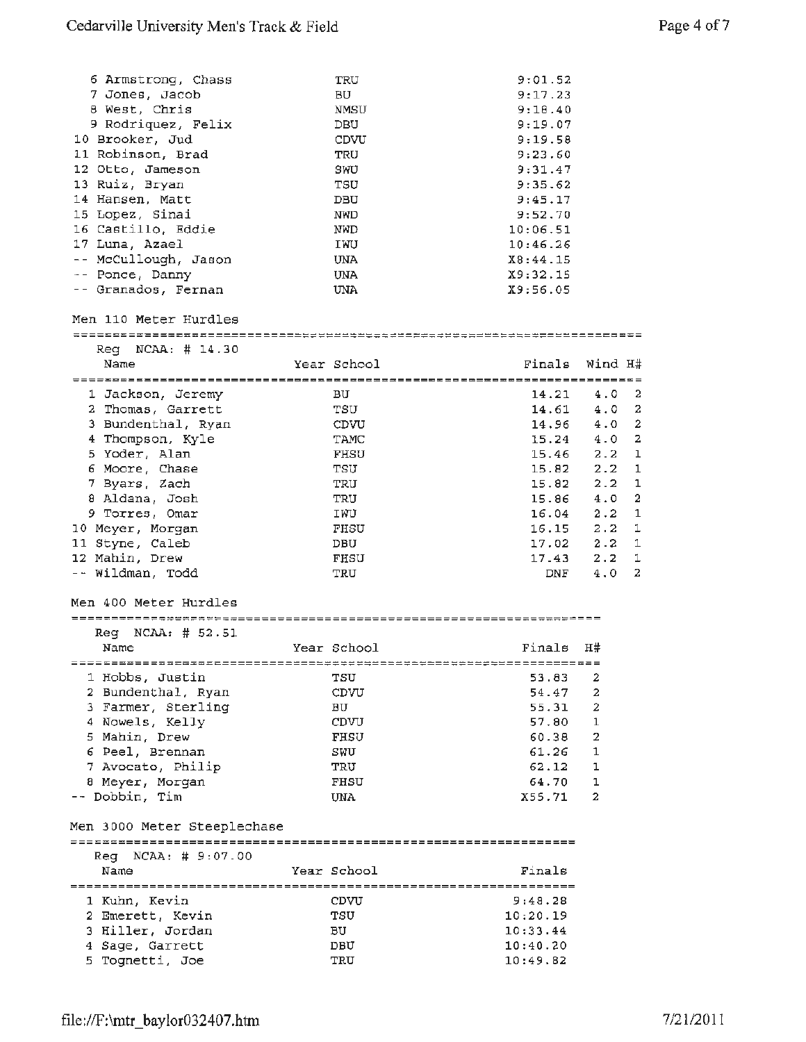| 6 Armstrong, Chass          | TRU         | 9:01.52  |                                |
|-----------------------------|-------------|----------|--------------------------------|
| 7 Jones, Jacob              | BU          | 9:17.23  |                                |
| 8 West, Chris               | NMSU        | 9:18.40  |                                |
| 9 Rodriquez, Felix          | DBU         | 9:19.07  |                                |
| 10 Brooker, Jud             | CDVU        | 9:19.58  |                                |
| 11 Robinson, Brad           | TRU         | 9:23.60  |                                |
|                             |             |          |                                |
| 12 Otto, Jameson            | SWU         | 9:31.47  |                                |
| 13 Ruiz, Bryan              | TSU         | 9:35.62  |                                |
| 14 Hansen, Matt             | DBU         | 9:45.17  |                                |
| 15 Lopez, Sinai             | <b>NWD</b>  | 9:52.70  |                                |
| 16 Castillo, Eddie          | NWD         | 10:06.51 |                                |
| 17 Luna, Azael              | IWU         | 10:46.26 |                                |
| -- McCullough, Jason        | UNA         | X8:44.15 |                                |
| -- Ponce, Danny             | <b>UNA</b>  | X9:32.15 |                                |
| -- Granados, Fernan         | UNA         | X9:56.05 |                                |
| Men 110 Meter Hurdles       |             |          |                                |
|                             |             |          |                                |
| $Reg$ NCAA: $#$ 14.30       |             |          |                                |
| Name                        | Year School | Finals   | Wind H#                        |
|                             |             |          |                                |
| 1 Jackson, Jeremy           | вU          | 14.21    | $4.0\,2$                       |
| 2 Thomas, Garrett           | TSU         | 14.61    | $4.0\,2$                       |
|                             |             | 14.96    | 2<br>4.0                       |
| 3 Bundenthal, Ryan          | CDVU        |          |                                |
| 4 Thompson, Kyle            | TAMC        | 15.24    | $\overline{\mathbf{z}}$<br>4.0 |
| 5 Yoder, Alan               | <b>FHSU</b> | 15.46    | 2.2<br>ı                       |
| 6 Moore, Chase              | TSU         | 15.82    | 2.2<br>1                       |
| 7 Byars, Zach               | TRU         | 15.82    | $2.2 -$<br>1                   |
| 8 Aldana, Josh              | TRU         | 15.86    | $\overline{\mathbf{2}}$<br>4.0 |
| 9 Torres, Omar              | IWU         | 16.04    | $\mathbf{1}$<br>2.2            |
| 10 Meyer, Morgan            | FHSU        | 16.15    | 2.2<br>1                       |
| 11 Styne, Caleb             | DBU         | 17.02    | 2.2<br>1                       |
| 12 Mahin, Drew              | FHSU        | 17.43    | 2.2<br>1                       |
| -- Wildman, Todd            | TRU         | DNF      | 2<br>4.0                       |
|                             |             |          |                                |
| Men 400 Meter Hurdles       |             |          |                                |
| $Req$ $NCAA:$ $#$ $52.51$   |             |          |                                |
| Name                        | Year School | Finals   | H#                             |
|                             |             |          |                                |
|                             |             |          |                                |
| 1 Hobbs, Justin             | TSU         | 53.83    | 2                              |
| 2 Bundenthal, Ryan          | CDVU        | 54.47    | $\mathbf{2}$                   |
| 3 Farmer, Sterling          | вU          | 55.31    | 2                              |
| 4 Nowels, Kelly             | CDVU        | 57.80    | $\mathbf 1$                    |
| 5 Mahin, Drew               | FHSU        | 60.38    | 2                              |
| 6 Peel, Brennan             | SWU         | 61.26    | $\mathbf{1}$                   |
| 7 Avocato, Philip           | TRU         | 62.12    | ı                              |
| 8 Meyer, Morgan             | FHSU        | 64.70    | 1                              |
| -- Dobbin, Tim              | UNA         | X55.71   | 2                              |
|                             |             |          |                                |
| Men 3000 Meter Steeplechase |             |          |                                |
|                             |             |          |                                |
| Req<br>NCAA: # 9:07.00      |             |          |                                |
| Name                        | Year School | Finals   |                                |
| 1 Kuhn, Kevin               | CDVU        | 9:48.28  |                                |
|                             |             |          |                                |
| 2 Emerett, Kevin            | TSU         | 10:20.19 |                                |
| 3 Hiller, Jordan            | ВU          | 10:33.44 |                                |
| 4 Sage, Garrett             | DBU         | 10:40.20 |                                |
| 5 Tognetti, Joe             | TRU         | 10:49.82 |                                |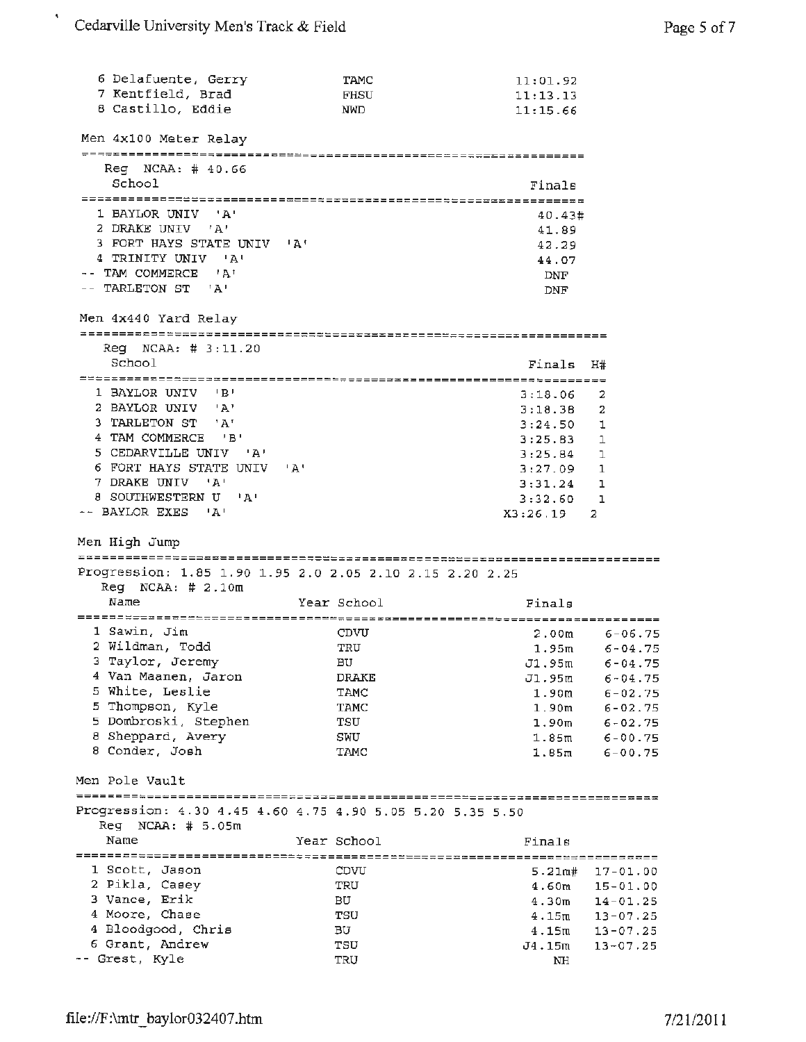¢,

| 6 Delafuente, Gerry<br>7 Kentfield, Brad<br>8 Castillo, Eddie                      | TAMC<br><b>FHSU</b><br>NWD | 11:01.92<br>11:13.13<br>11:15.66 |                              |
|------------------------------------------------------------------------------------|----------------------------|----------------------------------|------------------------------|
| Men 4x100 Meter Relay                                                              |                            |                                  |                              |
| Reg NCAA: # 40.66                                                                  |                            |                                  |                              |
| School                                                                             |                            | Finals                           |                              |
| 1 BAYLOR UNIV 'A'                                                                  |                            | 40.43#                           |                              |
| 2 DRAKE UNIV 'A'<br>3 FORT HAYS STATE UNIV 'A'                                     |                            | 41.89<br>42.29                   |                              |
| 4 TRINITY UNIV 'A'                                                                 |                            | 44.07                            |                              |
| -- TAM COMMERCE 'A'<br>-- TARLETON ST 'A'                                          |                            | DNF<br>DNF                       |                              |
| Men 4x440 Yard Relay                                                               |                            |                                  |                              |
| $Reg$ NCAA: $# 3:11.20$                                                            |                            |                                  |                              |
| School                                                                             |                            | Finals                           | H#                           |
| 1 BAYLOR UNIV 'B'                                                                  |                            | 3:18.06                          | 2                            |
| 2 BAYLOR UNIV 'A'                                                                  |                            | 3:18.38                          | 2                            |
| 3 TARLETON ST 'A'                                                                  |                            | 3:24.50                          | 1                            |
| 4 TAM COMMERCE 'B'<br>5 CEDARVILLE UNIV 'A'                                        |                            | 3:25.83                          | $\mathbf{1}$<br>$\mathbf{1}$ |
| 6 FORT HAYS STATE UNIV 'A'                                                         |                            | 3:25.84<br>$3:27.09$ 1           |                              |
| 7 DRAKE UNIV 'A'                                                                   |                            | $3:31.24$ 1                      |                              |
| 8 SOUTHWESTERN U 'A'                                                               |                            | 3:32.60                          | 1                            |
| -- BAYLOR EXES 'A'                                                                 |                            | X3:26.19                         | 2                            |
| Men High Jump                                                                      |                            |                                  |                              |
| Progression: 1.85 1.90 1.95 2.0 2.05 2.10 2.15 2.20 2.25                           |                            |                                  |                              |
| $Reg$ NCAA: $# 2.10m$                                                              |                            |                                  |                              |
| Name                                                                               | Year School                | Finals                           |                              |
|                                                                                    |                            |                                  |                              |
| 1 Sawin, Jim                                                                       | CDVU                       |                                  | $2.00m$ 6-06.75              |
| 2 Wildman, Todd<br>3 Taylor, Jeremy                                                | TRU                        |                                  | $1.95m$ 6-04.75              |
| 4 Van Maanen, Jaron                                                                | ВU<br>DRAKE                | J1,95m<br>J1.95m                 | $6 - 04.75$<br>$6 - 04.75$   |
| 5 White, Leslie                                                                    | TAMC                       | 1.90 <sub>m</sub>                | $6 - 02.75$                  |
| 5 Thompson, Kyle                                                                   | TAMC                       | 1.90 <sub>m</sub>                | $6 - 02.75$                  |
| 5 Dombroski, Stephen                                                               | TSU                        | 1.90 <sub>m</sub>                | $6 - 02.75$                  |
| 8 Sheppard, Avery                                                                  | SWU                        | 1.85 <sub>m</sub>                | $6 - 00.75$                  |
| 8 Conder, Josh                                                                     | TAMC                       | 1.85m                            | $6 - 00.75$                  |
| Men Pole Vault                                                                     |                            |                                  |                              |
| Progression: 4.30 4.45 4.60 4.75 4.90 5.05 5.20 5.35 5.50<br>$Reg$ NCAA: $# 5.05m$ |                            |                                  |                              |
| Name                                                                               | Year School                | Finals                           |                              |
|                                                                                    |                            |                                  |                              |
| 1 Scott, Jason                                                                     | CDVU                       | 5.21 <sub>m#</sub>               | $17 - 01.00$                 |
| 2 Pikla, Casey                                                                     | TRU                        | 4.60m                            | $15 - 01.00$                 |
| 3 Vance, Erik                                                                      | вU                         | 4.30 <sub>m</sub>                | $14 - 01.25$                 |
| 4 Moore, Chase                                                                     |                            |                                  |                              |
|                                                                                    | TSU                        | 4.15m                            | $13 - 07.25$                 |
| 4 Bloodgood, Chris<br>6 Grant, Andrew                                              | BU.<br>TSU                 | 4.15m<br>J4.15m                  | $13 - 07.25$<br>$13 - 07.25$ |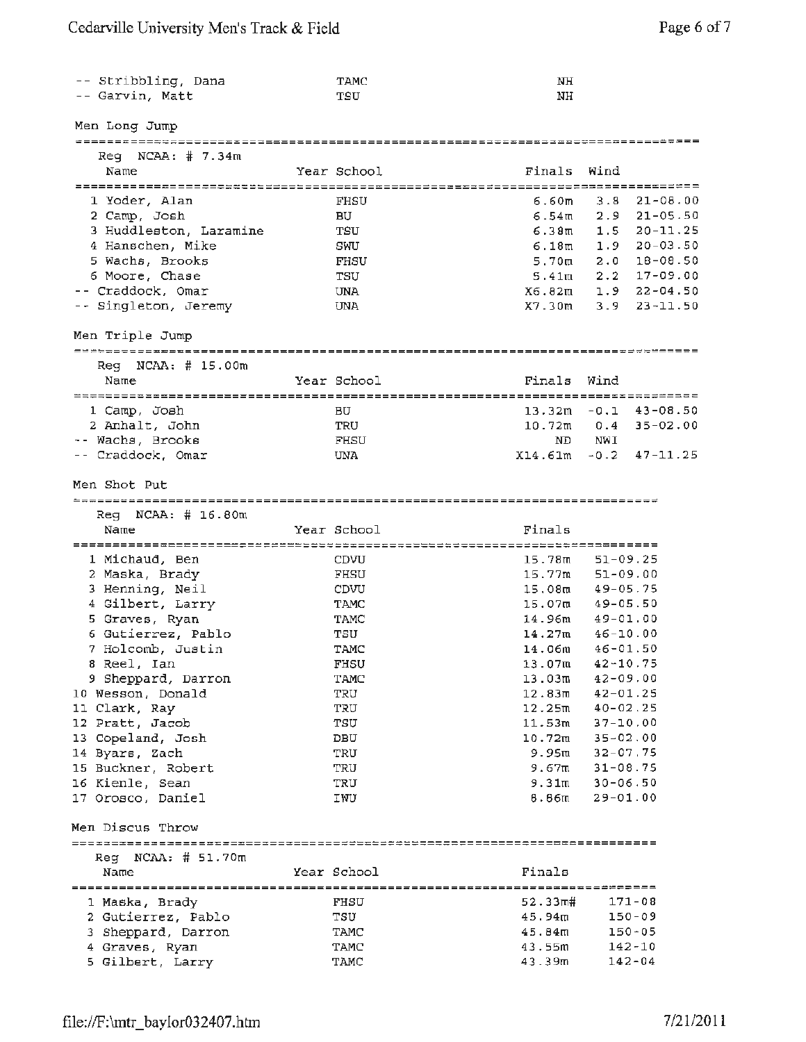| -- Stribbling, Dana<br>-- Garvin, Matt | TAMC<br>TSU | NH<br>NH           |                                              |
|----------------------------------------|-------------|--------------------|----------------------------------------------|
| Men Long Jump                          |             |                    |                                              |
|                                        |             |                    |                                              |
| $\text{Req}$ NCAA: $\#$ 7.34m<br>Name  | Year School | Finals             | Wind                                         |
|                                        |             |                    | ====== <i>=</i> ============================ |
| 1 Yoder, Alan                          | FHSU        | 6.60m              | $21 - 08.00$<br>3.8                          |
| 2 Camp, Josh                           | BU          | 6.54m              | $2.9$ $21-05.50$                             |
| 3 Huddleston, Laramine                 | TSU         | 6.38m              | $1.5$ $20-11.25$                             |
| 4 Hanschen, Mike                       | SWU         | 6.18m              | $1.9$ 20-03.50                               |
|                                        | FHSU        | 5.70m              | $2.0$ 18-08.50                               |
| 5 Wachs, Brooks<br>6 Moore, Chase      | TSU         | 5.41ա              | $2.2$ 17-09.00                               |
| -- Craddock, Omar                      |             | X6.82m             | $1.9$ $22 - 04.50$                           |
|                                        | UNA<br>UNA  | X7.30m             | $3.9$ $23 - 11.50$                           |
| -- Singleton, Jeremy                   |             |                    |                                              |
| Men Triple Jump                        |             |                    |                                              |
| $Reg$ NCAA: $#$ 15.00m                 |             |                    |                                              |
| Name                                   | Year School | Finals             | Wind                                         |
|                                        |             |                    |                                              |
| 1 Camp, Josh                           | BU          |                    | $13.32m - 0.1$ 43-08.50                      |
| 2 Anhalt, John                         | TRU         | $10.72$ m          | $0.4$ 35-02.00                               |
| -- Wachs, Brooks                       | FHSU        | ND.                | <b>NWI</b>                                   |
| -- Craddock, Omar                      | UNA         | X14.61m            | $-0.2$ 47-11.25                              |
| Men Shot Put                           |             |                    |                                              |
| $\text{Req}$ NCAA: # 16.80m            |             |                    |                                              |
| Name                                   | Year School | Finals             |                                              |
|                                        |             |                    |                                              |
| 1 Michaud, Ben                         | CDVU        | 15.78m             | $51 - 09.25$                                 |
| 2 Maska, Brady                         | FHSU        | 15.77m             | $51 - 09.00$                                 |
| 3 Henning, Neil                        | CDVU        | 15.08ա             | $49 - 05.75$                                 |
| 4 Gilbert, Larry                       | <b>TAMC</b> | 15.07m             | $49 - 05.50$                                 |
| 5 Graves, Ryan                         | TAMC        | 14.96m             | $49 - 01.00$                                 |
| 6 Gutierrez, Pablo                     | TSU         | 14.27m             | $46 - 10.00$                                 |
| 7 Holcomb, Justin                      | TAMC        | 14.06m             | $46 - 01.50$                                 |
| 8 Reel, Ian                            | FHSU        | 13.07m             | $42 - 10.75$                                 |
| 9 Sheppard, Darron                     | TAMC        | 13.03m             | $42 - 09.00$                                 |
| 10 Wesson, Donald                      | TRU         | 12.83 <sub>m</sub> | $42 - 01.25$                                 |
| 11 Clark, Ray                          | TRU         | 12.25m             | $40 - 02.25$                                 |
| 12 Pratt, Jacob                        | TSU         | 11.53m             | $37 - 10.00$                                 |
| 13 Copeland, Josh                      | DBU         | $10.72$ m          | $35 - 02.00$                                 |
| 14 Byars, Zach                         | TRU         | 9.95ա              | $32 - 07.75$                                 |
| 15 Buckner, Robert                     | TRU         | 9.67m              | $31 - 08.75$                                 |
| 16 Kienle, Sean                        | TRU         | 9.31m              | $30 - 06.50$                                 |
| 17 Orosco, Daniel                      | IWU         | 8.86 <sub>m</sub>  | $29 - 01.00$                                 |
|                                        |             |                    |                                              |
| Men Discus Throw                       |             |                    |                                              |
| $\text{Re}q$ NCAA: # 51.70m            |             |                    |                                              |
| Name                                   | Year School | Finals             |                                              |
| 1 Maska, Brady                         | FHSU        | 52.33π#            | $171 - 08$                                   |
| 2 Gutierrez, Pablo                     | TSU         | 45.94m             | $150 - 09$                                   |
| 3 Sheppard, Darron                     | TAMC        | 45.84m             | $150 - 05$                                   |
| 4 Graves, Ryan                         | TAMC        | 43.55m             | $142 - 10$                                   |
| 5 Gilbert, Larry                       | TAMC        | 43.39m             | $142 - 04$                                   |